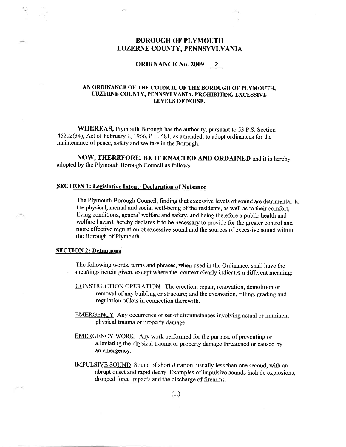# BOROUGH OF PLYMOUTH LUZERNE COUNTY, PENNSYVLVANIA

#### ORDINANCE No. 2009 - <sup>2</sup>

## AN ORDINANCE OF THE COUNCIL OF THE BOROUGH OF PLYMOUTH. LUZERNE COUNTY, PENNSYLVANIA, PROHIBITING EXCESSIVE LEVELS OF NOISE.

WHEREAS, Plymouth Borough has the authority, pursuant to 53 P.S. Section 46202(34), Act of February 1, 1966,P.L.581, as amended, to adopt ordinances for the maintenance of peace, safety and welfare in the Borough.

NOW, THEREFORE, BE IT ENACTED AND ORDAINED and it is hereby adopted by the Plymouth Borough Council as follows:

## **SECTION 1: Legislative Intent: Declaration of Nuisance**

The Plymouth Borough Council, finding that excessive levels of sound are detrimental to the physical, mental and social well-being of the residents, as well as to their comfort, living conditions, general welfare and safety, and being therefore a public health and welfare hazard, hereby declares it to be necessary to provide for the greater eontrol and more effective regulation of excessive sound and the sources of excessive sound within the Borough of Plymouth.

#### **SECTION 2: Definitions**

The following words, terms and phrases, when used in the Ordinance, shall have the meanings herein given, except where the context clearly indicates a different meaning:

- CONSTRUCTION OPERATION The erection, repair, renovation, demolition or removal of any building or structure; and the excavation, filling, grading and regulation of lots in connection therewith.
- EMERGENCY Any occurrence or set of circumstances involving actual or imminent physical trauma or properfy damage.
- EMERGENCY WORK Any work performed for the purpose of preventing or alleviating the physical trauma or property damage threatened or caused by an emergency.
- IMPULSIVE SOUND Sound of short duration, usually less than one second, with an abrupt onset and rapid decay. Examples of impulsive sounds include explosions, dropped force impacts and the discharge of firearms.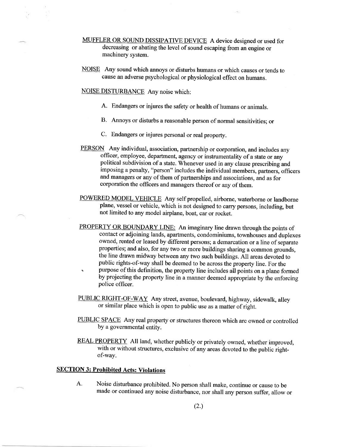- MUFFLER OR SOUND DISSIPATIVE DEVICE A device designed or used for decreasing or abating the level of sound escaping from an engine or machinery system.
- NOISE Any sound which annoys or disturbs humans or which causes or tends to cause an adverse psychological or physiological effect on humans.

NOISE DISTURBANCE Any noise which:

- A. Endangers or injures the safety or health of humans or animals.
- B. Annoys or disturbs a reasonable person of normal sensitivities; or
- C. Endangers or injures personal or real property.
- PERSON Any individual, association, partnership or corporation, and includes any officer, employee, department, agency or instrumentality of a state or any political subdivision of a state. Whenever used in any clause prescribing and imposing a penalty, "person" includes the individual members, partners, officers and managers or any of them of partnerships and associations, and as for corporation the officers and managers thereof or any of them.
- POWERED MODEL VEHICLE Any self propelled, airborne, waterborne or landborne plane, vessel or vehicle, which is not designed to carry persons, including, but not limited to any model airplane, boat, car or rocket.
- PROPERTY OR BOUNDARY LINE: An imaginary line drawn through the points of contact or adjoining lands, apartments, condominiums, townhouses and duplexes owned, rented or leased by different persons; a demarcation or a line of separate properties; and also, for any two or more buildings sharing a common grounds, the line drawn midway between any two such buildings. All areas devoted to public rights-of-way shall be deemed to be across the property line. For the
- s purpose of this definition, the property line includes all points on a plane formed by projecting the property line in a manner deemed appropriate by the enforcing police officer.
- PUBLIC RIGHT-OF-WAY Any street, avenue, boulevard, highway, sidewalk, alley or similar place which is open to public use as a matter of right.
- PUBLIC SPACE Any real property or structures thereon which are owned or controlled by a governmental entity.
- REAL PROPERTY All land, whether publicly or privately owned, whether improved, with or without structures, exclusive of any areas devoted to the public rightof-way.

### SECTION 3: Prohibited Acts: Violations

A. Noise disturbance prohibited. No person shall make, continue or cause to be made or continued any noise disturbance, nor shall any person suffer, allow or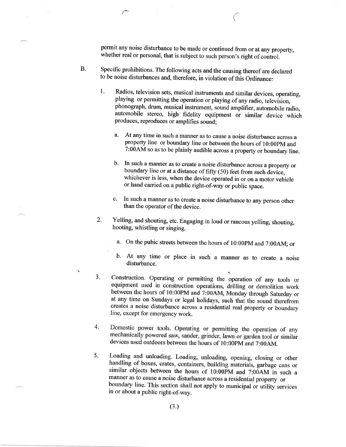permit any noise disturbance to be made or continued from or at any property, whether real or personal, that is subject to such person's right of control.

- B. Specific prohibitions. The following acts and the causing thereof are declared to be noise disturbances and, therefore, in violation of this ordinance:
	- 1. Radios, television sets, musical instruments and similar devices, operating, playing or permitting the operation or playing of any radio, television, phonograph, drum, musical instrument, sound amplifier, automobile radio, automobile stereo, high fidelity equipment or similar device which produces, reproduces or amplifies sound;
		- a. At any time in such a manner as to cause a noise disturbance across a property line or boundary line or between the hours of 10:00pM and 7:00AM so as to be plainly audible across a property or boundary line.
		- b. In such a manner as to create a noise disturbance across a property or houndary line on at a disturbance  $\frac{1}{2}$  (50)  $\frac{1}{2}$  (50)  $\frac{1}{2}$ boundary line or at a distance of fifty (50) feet from such device, whichever is less, when the device operated in or on a motor vehicle or hand carried on a public right-of-way or public space.
		- c. In such a manner as to create a noise disfurbance to any person other than the operator of the device.
	- 2. Yelling, and shouting, etc. Engaging in loud or raucous yelling, shouting, hooting, whistling or singing.
		- a. On the pubic streets between the hours of 10:00PM and 7:00AM; or
		- b. At any time or place in such a manner as to create a noise disturbance.
	- a J Construction. Operating or permitting the operation of any tools or equipment used in construction operations, drilling or demolition work between the hours of 10:00PM and 7:00AM, Monday through Saturday or at any time on Sundays or legal holidays, such that the sound therefrom creates a noise disturbance across a residential real property or boundary line, except for emergency work.
	- 4. Domestic power tools. Operating or permitting the operation of any mechanically powered saw, sander, grinder, lawn or garden tool or similar devices used outdoors between the hours of 10:00PM and 7:00AM.
	- 5. Loading and unloading. Loading, unloading, opening, closing or other handling of boxes, crates, containers, building materials, garbage cans or similar objects between the hours of 10:00PM and 7:00AM in such a manner as to cause a noise disturbance across a residential property or boundary line. This section shall not apply to municipal or utility services in or about a public right-of-way.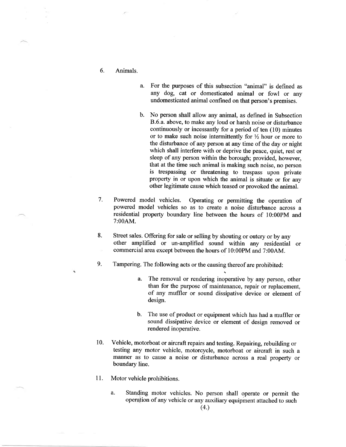- 6. Animals.
- a. For the purposes of this subsection "animal" is defined as any dog, cat or domesticated animal or fowl or any undomesticated animal confined on that person's premises.
- b. No person shall allow any animal, as defined in Subsection B.6.a. above, to make any loud or harsh noise or disturbance continuously or incessantly for a period of ten (10) minutes or to make such noise intermittently for  $\frac{1}{2}$  hour or more to the disturbance of any person at any time of the day or night which shall interfere with or deprive the peace, quiet, rest or sleep of any person within the borough; provided, however, that at the time such animal is making such noise, no person is trespassing or threatening to trespass upon private property in or upon which the animal is situate or for any other legitimate cause which teased or provoked the animal.
- Powered model vehicles. Operating or permitting the operation of powered model vehicles so as to create a noise disturbance across <sup>a</sup> residential property boundary line between the hours of l0:00pM and 7:00AM. 7.
- Street sales. Offering for sale or selling by shouting or outcry or by any other amplified or un-amplified sound within any residential or commercial area except between the hours of 10:00PM and 7:00AM. 8.
- Tampering. The following acts or the causing thereof are prohibited: 9.
	- a. The removal or rendering inoperative by any person, other than for the purpose of maintenance, repair or replacement, of any muffler or sound dissipative device or element of design.
	- b. The use of product or equipment which has had a muffler or sound dissipative device or element of design removed or rendered inoperative,
- Vehicle, motorboat or aircraft repairs and testing. Repairing, rebuilding or testing any motor vehicle, motorcycle, motorboat or aircraft in such <sup>a</sup> manner as to cause a noise or disturbance across a real property or boundary line. 10.
- Motor vehicle prohibitions. 11.
	- a. Standing motor vehicles. No person shall operate or permit the operation of any vehicle or any auxiliary equipment attached to such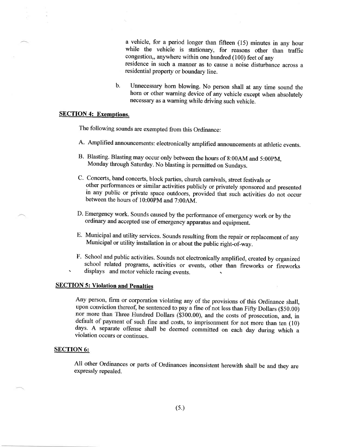a vehicle, for a period longer than fifteen (15) minutes in any hour while the vehicle is stationary, for reasons other than traffic congestion,, anywhere within one hundred (100) feet of any residence in such a manner as to cause a noise disturbance across <sup>a</sup> residential properfy or boundary line.

b. Unnecessary hom blowing. No person shall at any time sound the horn or other warning device of any vehicle except when absolutely necessary as a warning while driving such vehicle.

## **SECTION 4: Exemptions.**

The following sounds are exempted from this Ordinance:

- A. Amplifred announcements: electronically amplified announcements at athletic events.
- B. Blasting. Blasting may occur only between the hours of 8:00AM and 5:00pM. Monday through Saturday. No blasting is permitted on Sundays.
- C. Concerts, band concerts, block parties, church carnivals, street festivals or other performances or similar activities publicly or privately sponsored and presented in any public or private space outdoors, provided that suth activities do not occur between the hours of l0:00pM and 7:00AM.
- D. Emergency work. Sounds caused by the performance of emergency work or by the ordinary and accepted use of emergency apparatus and equipment.
- E. Municipal and utility services. Sounds resulting from the repair or replacement of any Municipal or utility installation in or about the public right-of-way.
- F. School and public activities. Sounds not electronically amplified, created by organized school related programs, activities or events, other than fireworks or fireworks displays and motor vehicle racing events.

# **SECTION 5: Violation and Penalties**

Any person, firm or corporation violating any of the provisions of this Ordinance shall, upon conviction thereof, be sentenced to pay a fine of not less than Fifty Dollars (\$50.00) nor more than Three Hundred Dollars (\$300.00), and the costs of prosecution, and, in default of payment of such fine and costs, to imprisonment for not more than ten (10) days. A separate offense shall be deemed committed on each day during which <sup>a</sup> violation occurs or continues.

#### SECTION 6:

All other Ordinances or parts of Ordinances inconsistent herewith shall be and thev are expressly repealed.